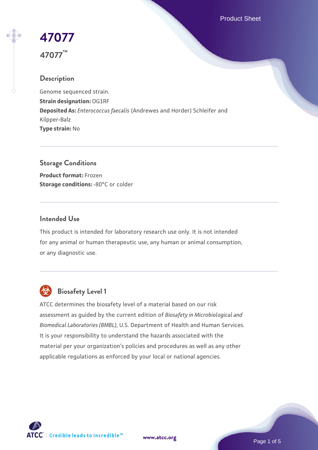Product Sheet

# **[47077](https://www.atcc.org/products/47077) 47077™**

## **Description**

Genome sequenced strain. **Strain designation:** OG1RF **Deposited As:** *Enterococcus faecalis* (Andrewes and Horder) Schleifer and Kilpper-Balz **Type strain:** No

**Storage Conditions Product format:** Frozen **Storage conditions: -80°C or colder** 

#### **Intended Use**

This product is intended for laboratory research use only. It is not intended for any animal or human therapeutic use, any human or animal consumption, or any diagnostic use.



# **Biosafety Level 1**

ATCC determines the biosafety level of a material based on our risk assessment as guided by the current edition of *Biosafety in Microbiological and Biomedical Laboratories (BMBL)*, U.S. Department of Health and Human Services. It is your responsibility to understand the hazards associated with the material per your organization's policies and procedures as well as any other applicable regulations as enforced by your local or national agencies.



**[www.atcc.org](http://www.atcc.org)**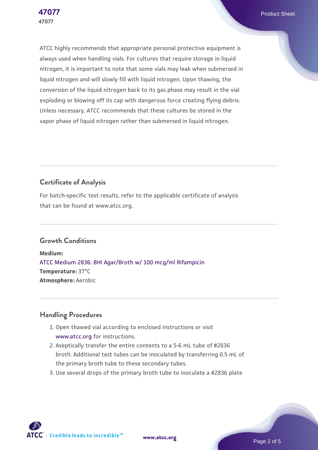ATCC highly recommends that appropriate personal protective equipment is always used when handling vials. For cultures that require storage in liquid nitrogen, it is important to note that some vials may leak when submersed in liquid nitrogen and will slowly fill with liquid nitrogen. Upon thawing, the conversion of the liquid nitrogen back to its gas phase may result in the vial exploding or blowing off its cap with dangerous force creating flying debris. Unless necessary, ATCC recommends that these cultures be stored in the vapor phase of liquid nitrogen rather than submersed in liquid nitrogen.

## **Certificate of Analysis**

For batch-specific test results, refer to the applicable certificate of analysis that can be found at www.atcc.org.

## **Growth Conditions**

**Medium:**  [ATCC Medium 2836: BHI Agar/Broth w/ 100 mcg/ml Rifampicin](https://www.atcc.org/-/media/product-assets/documents/microbial-media-formulations/2/8/3/6/atcc-medium-2836.pdf?rev=4f2f64e5dcbf47fd9079cb40ce95918c) **Temperature:** 37°C **Atmosphere:** Aerobic

### **Handling Procedures**

- 1. Open thawed vial according to enclosed instructions or visit [www.atcc.org](http://www.atcc.org) for instructions.
- 2. Aseptically transfer the entire contents to a 5-6 mL tube of #2836 broth. Additional test tubes can be inoculated by transferring 0.5 mL of the primary broth tube to these secondary tubes.
- 3. Use several drops of the primary broth tube to inoculate a #2836 plate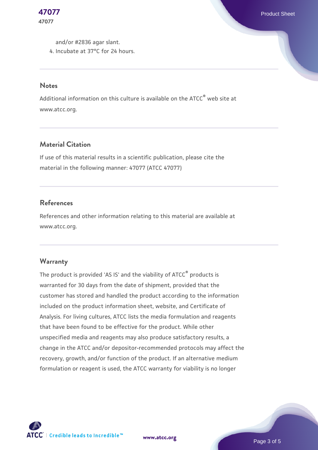and/or #2836 agar slant. 4. Incubate at 37°C for 24 hours.

#### **Notes**

**47077**

Additional information on this culture is available on the ATCC® web site at www.atcc.org.

## **Material Citation**

If use of this material results in a scientific publication, please cite the material in the following manner: 47077 (ATCC 47077)

#### **References**

References and other information relating to this material are available at www.atcc.org.

#### **Warranty**

The product is provided 'AS IS' and the viability of ATCC® products is warranted for 30 days from the date of shipment, provided that the customer has stored and handled the product according to the information included on the product information sheet, website, and Certificate of Analysis. For living cultures, ATCC lists the media formulation and reagents that have been found to be effective for the product. While other unspecified media and reagents may also produce satisfactory results, a change in the ATCC and/or depositor-recommended protocols may affect the recovery, growth, and/or function of the product. If an alternative medium formulation or reagent is used, the ATCC warranty for viability is no longer

**[www.atcc.org](http://www.atcc.org)**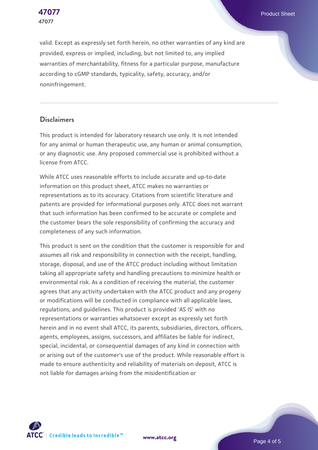

valid. Except as expressly set forth herein, no other warranties of any kind are provided, express or implied, including, but not limited to, any implied warranties of merchantability, fitness for a particular purpose, manufacture according to cGMP standards, typicality, safety, accuracy, and/or noninfringement.

#### **Disclaimers**

This product is intended for laboratory research use only. It is not intended for any animal or human therapeutic use, any human or animal consumption, or any diagnostic use. Any proposed commercial use is prohibited without a license from ATCC.

While ATCC uses reasonable efforts to include accurate and up-to-date information on this product sheet, ATCC makes no warranties or representations as to its accuracy. Citations from scientific literature and patents are provided for informational purposes only. ATCC does not warrant that such information has been confirmed to be accurate or complete and the customer bears the sole responsibility of confirming the accuracy and completeness of any such information.

This product is sent on the condition that the customer is responsible for and assumes all risk and responsibility in connection with the receipt, handling, storage, disposal, and use of the ATCC product including without limitation taking all appropriate safety and handling precautions to minimize health or environmental risk. As a condition of receiving the material, the customer agrees that any activity undertaken with the ATCC product and any progeny or modifications will be conducted in compliance with all applicable laws, regulations, and guidelines. This product is provided 'AS IS' with no representations or warranties whatsoever except as expressly set forth herein and in no event shall ATCC, its parents, subsidiaries, directors, officers, agents, employees, assigns, successors, and affiliates be liable for indirect, special, incidental, or consequential damages of any kind in connection with or arising out of the customer's use of the product. While reasonable effort is made to ensure authenticity and reliability of materials on deposit, ATCC is not liable for damages arising from the misidentification or



**[www.atcc.org](http://www.atcc.org)**

Page 4 of 5